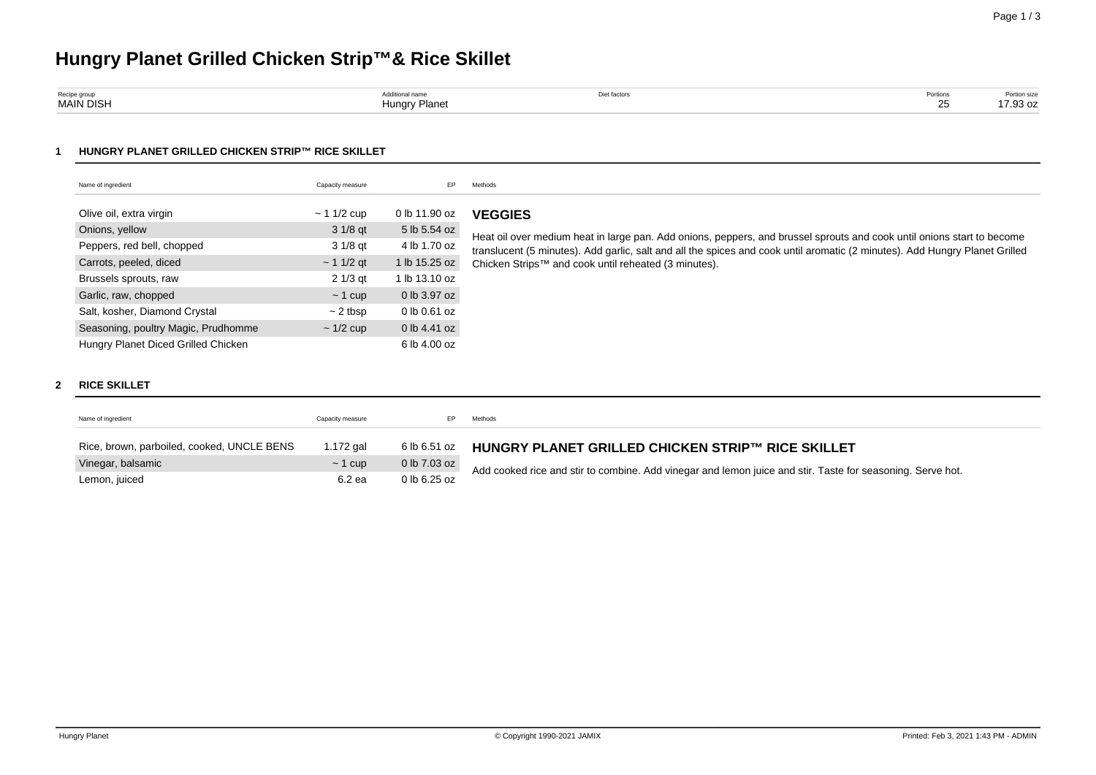# **Hungry Planet Grilled Chicken Strip™& Rice Skillet**

| Recipe group     |                    | Diet factors | Portions |                          |
|------------------|--------------------|--------------|----------|--------------------------|
| <b>MAIN DISH</b> | / Planet<br>Hunarv |              | $ -$     | $\overline{1}$<br>.93 oz |

## **1 HUNGRY PLANET GRILLED CHICKEN STRIP™ RICE SKILLET**

| Name of ingredient                  | Capacity measure | EP.           | Methods                                                                                                                                                                                                                                               |  |  |
|-------------------------------------|------------------|---------------|-------------------------------------------------------------------------------------------------------------------------------------------------------------------------------------------------------------------------------------------------------|--|--|
|                                     |                  |               |                                                                                                                                                                                                                                                       |  |  |
| Olive oil, extra virgin             | $\sim$ 1 1/2 cup | 0 lb 11.90 oz | <b>VEGGIES</b>                                                                                                                                                                                                                                        |  |  |
| Onions, yellow                      | 3 1/8 gt         | 5 lb 5.54 oz  |                                                                                                                                                                                                                                                       |  |  |
| Peppers, red bell, chopped          | 3 1/8 gt         | 4 lb 1.70 oz  | Heat oil over medium heat in large pan. Add onions, peppers, and brussel sprouts and cook until onions start to become<br>translucent (5 minutes). Add garlic, salt and all the spices and cook until aromatic (2 minutes). Add Hungry Planet Grilled |  |  |
| Carrots, peeled, diced              | $\sim$ 1 1/2 gt  | 1 lb 15.25 oz | Chicken Strips™ and cook until reheated (3 minutes).                                                                                                                                                                                                  |  |  |
| Brussels sprouts, raw               | 2 1/3 gt         | 1 lb 13.10 oz |                                                                                                                                                                                                                                                       |  |  |
| Garlic, raw, chopped                | $\sim$ 1 cup     | 0 lb 3.97 oz  |                                                                                                                                                                                                                                                       |  |  |
| Salt, kosher, Diamond Crystal       | $\sim$ 2 tbsp    | 0 lb 0.61 oz  |                                                                                                                                                                                                                                                       |  |  |
| Seasoning, poultry Magic, Prudhomme | $\sim$ 1/2 cup   | 0 lb 4.41 oz  |                                                                                                                                                                                                                                                       |  |  |
| Hungry Planet Diced Grilled Chicken |                  | 6 lb 4.00 oz  |                                                                                                                                                                                                                                                       |  |  |

## **2 RICE SKILLET**

| Name of ingredient                         | Capacity measure |                | Methods                                                                                                    |
|--------------------------------------------|------------------|----------------|------------------------------------------------------------------------------------------------------------|
| Rice, brown, parboiled, cooked, UNCLE BENS | 1.172 gal        | 6 lb 6.51 oz   | HUNGRY PLANET GRILLED CHICKEN STRIP™ RICE SKILLET                                                          |
| Vinegar, balsamic                          | $\sim$ 1 cup     | 0 lb 7.03 oz   | Add cooked rice and stir to combine. Add vinegar and lemon juice and stir. Taste for seasoning. Serve hot. |
| Lemon, juiced                              | 6.2 ea           | $0$ lb 6.25 oz |                                                                                                            |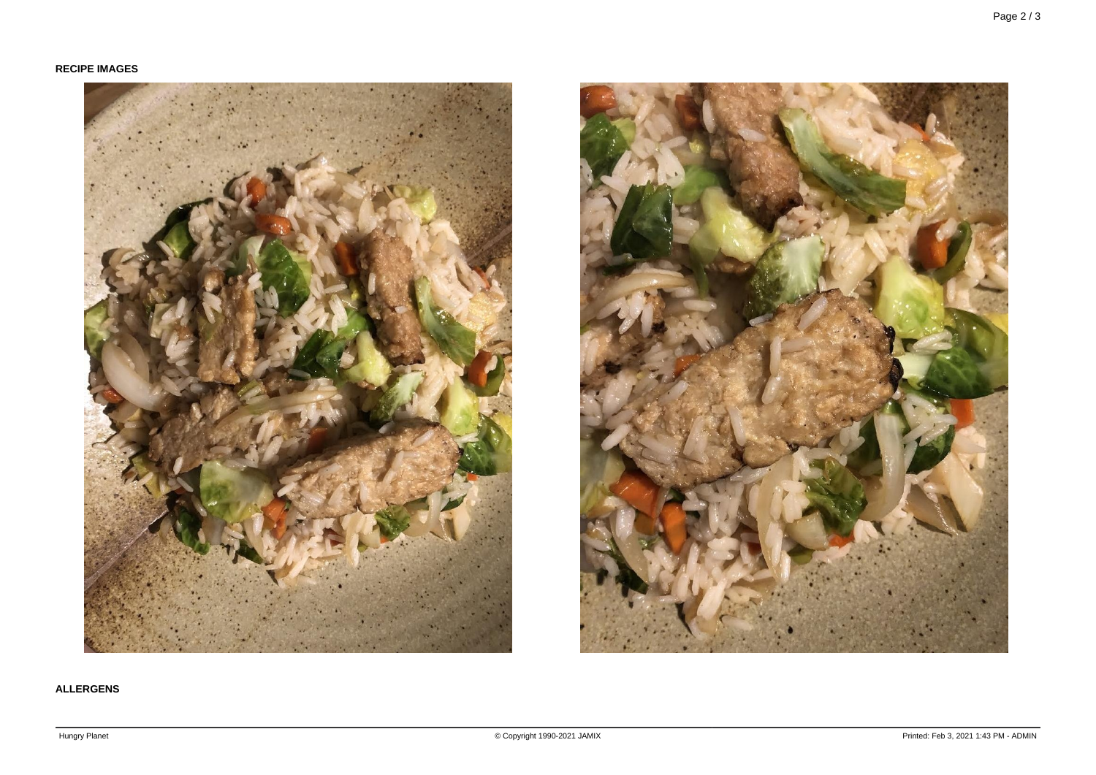# **RECIPE IMAGES**





# **ALLERGENS**